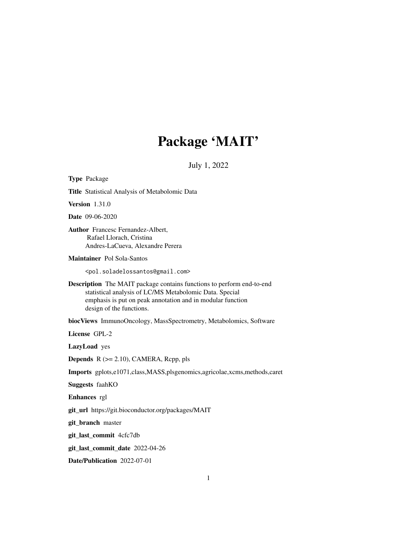# Package 'MAIT'

July 1, 2022

<span id="page-0-0"></span>Type Package Title Statistical Analysis of Metabolomic Data Version 1.31.0 Date 09-06-2020 Author Francesc Fernandez-Albert, Rafael Llorach, Cristina Andres-LaCueva, Alexandre Perera Maintainer Pol Sola-Santos <pol.soladelossantos@gmail.com> Description The MAIT package contains functions to perform end-to-end statistical analysis of LC/MS Metabolomic Data. Special emphasis is put on peak annotation and in modular function design of the functions. biocViews ImmunoOncology, MassSpectrometry, Metabolomics, Software License GPL-2 LazyLoad yes Depends R (>= 2.10), CAMERA, Rcpp, pls Imports gplots,e1071,class,MASS,plsgenomics,agricolae,xcms,methods,caret Suggests faahKO Enhances rgl git\_url https://git.bioconductor.org/packages/MAIT git\_branch master git\_last\_commit 4cfc7db git\_last\_commit\_date 2022-04-26 Date/Publication 2022-07-01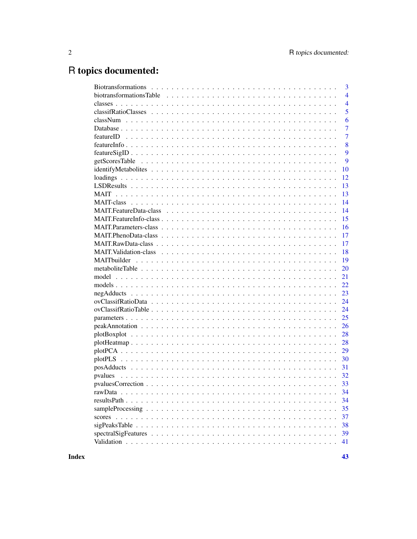# R topics documented:

| $\overline{3}$ |
|----------------|
| $\overline{4}$ |
| $\overline{4}$ |
| 5              |
| 6              |
| $\overline{7}$ |
| 7              |
| 8              |
| 9              |
| 9              |
| 10             |
| 12             |
| 13             |
| 13             |
| 14             |
| 14             |
| 15             |
| 16             |
| 17             |
| 17             |
| 18             |
| 19             |
| 20             |
| 21             |
| 22             |
|                |
| 23             |
| 24             |
| 24             |
| 25             |
| 26             |
| 28             |
| 28             |
| 29             |
| 30             |
|                |
|                |
|                |
| 34             |
| 34             |
| 35             |
| 37             |
| 38             |
| 39             |
| 41             |
|                |

**Index**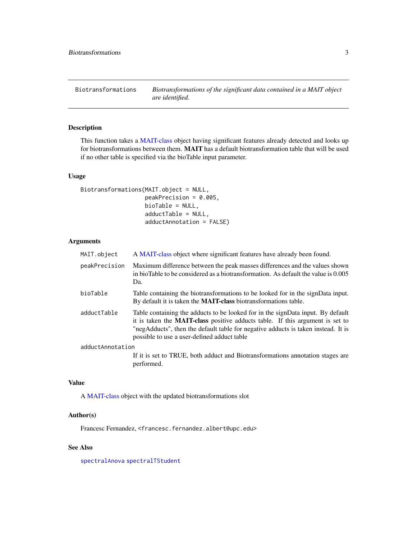<span id="page-2-1"></span><span id="page-2-0"></span>Biotransformations *Biotransformations of the significant data contained in a MAIT object are identified.*

# Description

This function takes a [MAIT-class](#page-13-1) object having significant features already detected and looks up for biotransformations between them. MAIT has a default biotransformation table that will be used if no other table is specified via the bioTable input parameter.

#### Usage

```
Biotransformations(MAIT.object = NULL,
                   peakPrecision = 0.005,
                   bioTable = NULL,
                   adductTable = NULL,
                   adductAnnotation = FALSE)
```
# Arguments

| MAIT.object      | A MAIT-class object where significant features have already been found.                                                                                                                                                                                                                                     |
|------------------|-------------------------------------------------------------------------------------------------------------------------------------------------------------------------------------------------------------------------------------------------------------------------------------------------------------|
| peakPrecision    | Maximum difference between the peak masses differences and the values shown<br>in bioTable to be considered as a biotransformation. As default the value is 0.005<br>Da.                                                                                                                                    |
| bioTable         | Table containing the biotransformations to be looked for in the signData input.<br>By default it is taken the <b>MAIT-class</b> biotransformations table.                                                                                                                                                   |
| adductTable      | Table containing the adducts to be looked for in the signData input. By default<br>it is taken the <b>MAIT-class</b> positive adducts table. If this argument is set to<br>"negAdducts", then the default table for negative adducts is taken instead. It is<br>possible to use a user-defined adduct table |
| adductAnnotation |                                                                                                                                                                                                                                                                                                             |
|                  | If it is set to TRUE, both adduct and Biotransformations annotation stages are<br>performed.                                                                                                                                                                                                                |

#### Value

A [MAIT-class](#page-13-1) object with the updated biotransformations slot

# Author(s)

Francesc Fernandez, <francesc.fernandez.albert@upc.edu>

#### See Also

[spectralAnova](#page-0-0) [spectralTStudent](#page-0-0)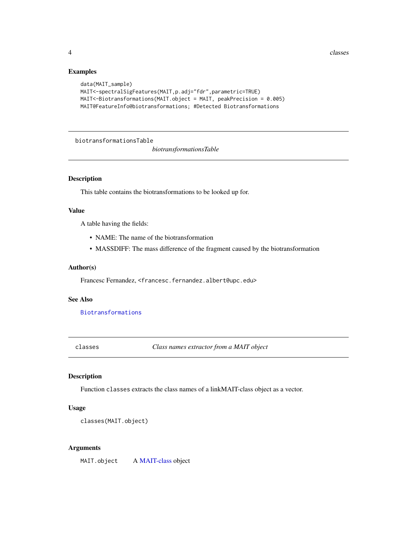# Examples

```
data(MAIT_sample)
MAIT<-spectralSigFeatures(MAIT,p.adj="fdr",parametric=TRUE)
MAIT<-Biotransformations(MAIT.object = MAIT, peakPrecision = 0.005)
MAIT@FeatureInfo@biotransformations; #Detected Biotransformations
```
biotransformationsTable

*biotransformationsTable*

# Description

This table contains the biotransformations to be looked up for.

### Value

A table having the fields:

- NAME: The name of the biotransformation
- MASSDIFF: The mass difference of the fragment caused by the biotransformation

#### Author(s)

Francesc Fernandez, <francesc.fernandez.albert@upc.edu>

# See Also

[Biotransformations](#page-2-1)

<span id="page-3-1"></span>classes *Class names extractor from a MAIT object*

# Description

Function classes extracts the class names of a linkMAIT-class object as a vector.

# Usage

```
classes(MAIT.object)
```
#### Arguments

MAIT.object A [MAIT-class](#page-13-1) object

<span id="page-3-0"></span>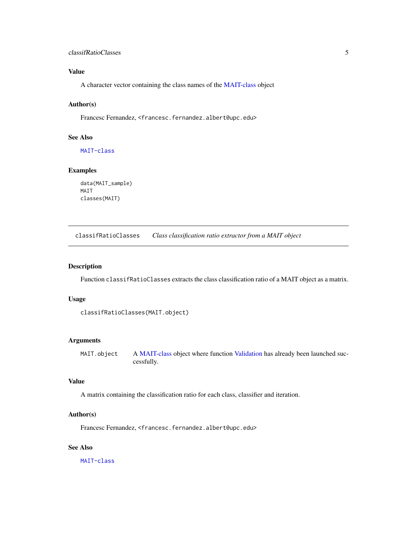#### <span id="page-4-0"></span>classifRatioClasses 5

# Value

A character vector containing the class names of the [MAIT-class](#page-13-1) object

# Author(s)

Francesc Fernandez, <francesc.fernandez.albert@upc.edu>

#### See Also

[MAIT-class](#page-13-1)

#### Examples

```
data(MAIT_sample)
MAIT
classes(MAIT)
```
<span id="page-4-1"></span>classifRatioClasses *Class classification ratio extractor from a MAIT object*

#### Description

Function classifRatioClasses extracts the class classification ratio of a MAIT object as a matrix.

## Usage

```
classifRatioClasses(MAIT.object)
```
#### Arguments

MAIT.object A [MAIT-class](#page-13-1) object where function [Validation](#page-40-1) has already been launched successfully.

# Value

A matrix containing the classification ratio for each class, classifier and iteration.

#### Author(s)

Francesc Fernandez, <francesc.fernandez.albert@upc.edu>

#### See Also

[MAIT-class](#page-13-1)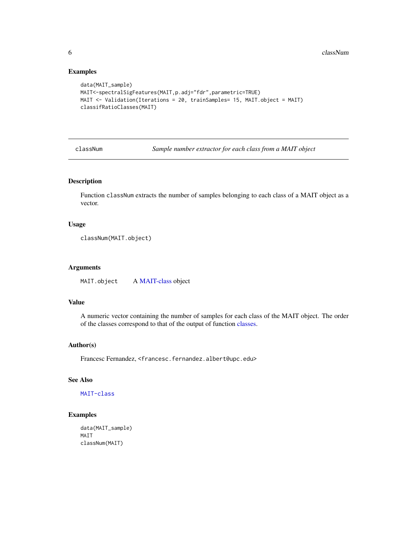# Examples

```
data(MAIT_sample)
MAIT<-spectralSigFeatures(MAIT,p.adj="fdr",parametric=TRUE)
MAIT <- Validation(Iterations = 20, trainSamples= 15, MAIT.object = MAIT)
classifRatioClasses(MAIT)
```
<span id="page-5-1"></span>

| classNum |  |
|----------|--|
|          |  |

Sample number extractor for each class from a MAIT object

# Description

Function classNum extracts the number of samples belonging to each class of a MAIT object as a vector.

# Usage

classNum(MAIT.object)

#### Arguments

MAIT.object A [MAIT-class](#page-13-1) object

#### Value

A numeric vector containing the number of samples for each class of the MAIT object. The order of the classes correspond to that of the output of function [classes.](#page-3-1)

#### Author(s)

Francesc Fernandez, <francesc.fernandez.albert@upc.edu>

# See Also

# [MAIT-class](#page-13-1)

# Examples

```
data(MAIT_sample)
MAIT
classNum(MAIT)
```
<span id="page-5-0"></span>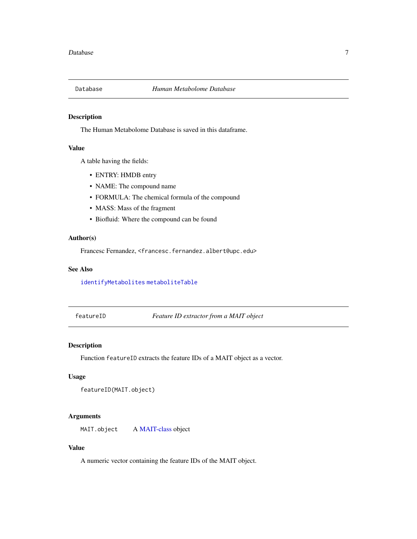<span id="page-6-0"></span>

The Human Metabolome Database is saved in this dataframe.

# Value

A table having the fields:

- ENTRY: HMDB entry
- NAME: The compound name
- FORMULA: The chemical formula of the compound
- MASS: Mass of the fragment
- Biofluid: Where the compound can be found

# Author(s)

Francesc Fernandez, <francesc.fernandez.albert@upc.edu>

# See Also

[identifyMetabolites](#page-9-1) [metaboliteTable](#page-19-1)

featureID *Feature ID extractor from a MAIT object*

#### Description

Function featureID extracts the feature IDs of a MAIT object as a vector.

#### Usage

```
featureID(MAIT.object)
```
#### Arguments

MAIT.object A [MAIT-class](#page-13-1) object

# Value

A numeric vector containing the feature IDs of the MAIT object.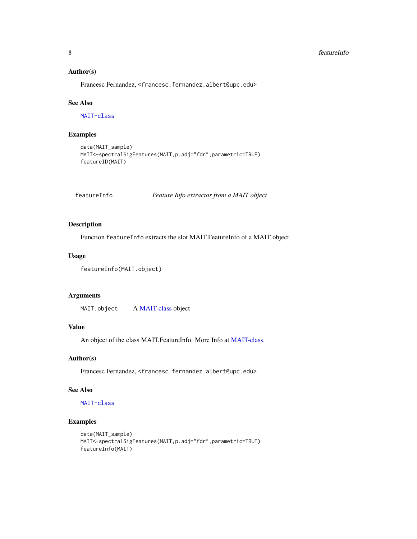# <span id="page-7-0"></span>Author(s)

Francesc Fernandez, <francesc.fernandez.albert@upc.edu>

#### See Also

[MAIT-class](#page-13-1)

# Examples

```
data(MAIT_sample)
MAIT<-spectralSigFeatures(MAIT,p.adj="fdr",parametric=TRUE)
featureID(MAIT)
```
featureInfo *Feature Info extractor from a MAIT object*

# Description

Function featureInfo extracts the slot MAIT.FeatureInfo of a MAIT object.

#### Usage

```
featureInfo(MAIT.object)
```
# Arguments

MAIT.object A [MAIT-class](#page-13-1) object

#### Value

An object of the class MAIT.FeatureInfo. More Info at [MAIT-class.](#page-13-1)

## Author(s)

Francesc Fernandez, <francesc.fernandez.albert@upc.edu>

# See Also

# [MAIT-class](#page-13-1)

# Examples

```
data(MAIT_sample)
MAIT<-spectralSigFeatures(MAIT,p.adj="fdr",parametric=TRUE)
featureInfo(MAIT)
```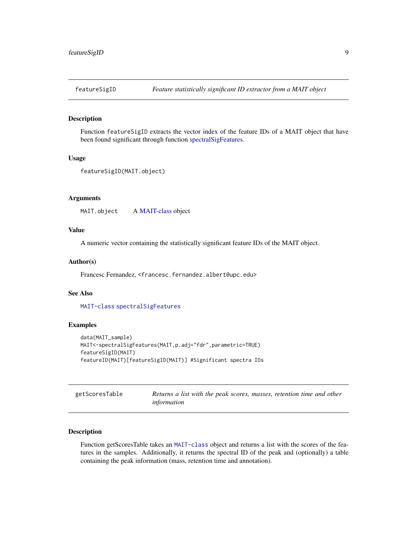<span id="page-8-0"></span>

Function featureSigID extracts the vector index of the feature IDs of a MAIT object that have been found significant through function [spectralSigFeatures.](#page-38-1)

#### Usage

```
featureSigID(MAIT.object)
```
# Arguments

MAIT.object A [MAIT-class](#page-13-1) object

#### Value

A numeric vector containing the statistically significant feature IDs of the MAIT object.

#### Author(s)

Francesc Fernandez, <francesc.fernandez.albert@upc.edu>

#### See Also

[MAIT-class](#page-13-1) [spectralSigFeatures](#page-38-1)

#### Examples

```
data(MAIT_sample)
MAIT<-spectralSigFeatures(MAIT,p.adj="fdr",parametric=TRUE)
featureSigID(MAIT)
featureID(MAIT)[featureSigID(MAIT)] #Significant spectra IDs
```

| getScoresTable | Returns a list with the peak scores, masses, retention time and other |
|----------------|-----------------------------------------------------------------------|
|                | information                                                           |

# Description

Function getScoresTable takes an [MAIT-class](#page-13-1) object and returns a list with the scores of the features in the samples. Additionally, it returns the spectral ID of the peak and (optionally) a table containing the peak information (mass, retention time and annotation).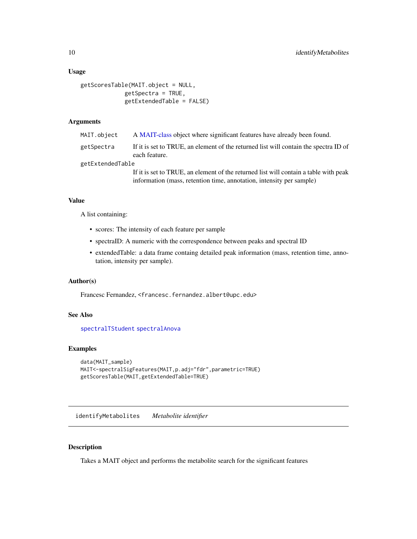# <span id="page-9-0"></span>Usage

```
getScoresTable(MAIT.object = NULL,
             getSpectra = TRUE,
             getExtendedTable = FALSE)
```
# Arguments

| MAIT.object      | A MAIT-class object where significant features have already been found.                                                                                      |  |
|------------------|--------------------------------------------------------------------------------------------------------------------------------------------------------------|--|
| getSpectra       | If it is set to TRUE, an element of the returned list will contain the spectra ID of<br>each feature.                                                        |  |
| getExtendedTable |                                                                                                                                                              |  |
|                  | If it is set to TRUE, an element of the returned list will contain a table with peak<br>information (mass, retention time, annotation, intensity per sample) |  |

#### Value

A list containing:

- scores: The intensity of each feature per sample
- spectraID: A numeric with the correspondence between peaks and spectral ID
- extendedTable: a data frame containg detailed peak information (mass, retention time, annotation, intensity per sample).

#### Author(s)

Francesc Fernandez, <francesc.fernandez.albert@upc.edu>

# See Also

[spectralTStudent](#page-0-0) [spectralAnova](#page-0-0)

# Examples

```
data(MAIT_sample)
MAIT<-spectralSigFeatures(MAIT,p.adj="fdr",parametric=TRUE)
getScoresTable(MAIT,getExtendedTable=TRUE)
```
<span id="page-9-1"></span>identifyMetabolites *Metabolite identifier*

#### Description

Takes a MAIT object and performs the metabolite search for the significant features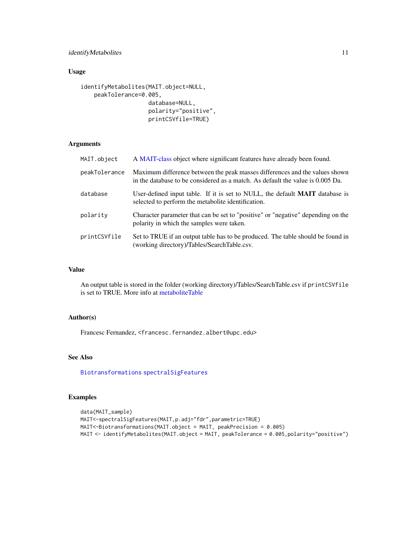# <span id="page-10-0"></span>identifyMetabolites 11

# Usage

```
identifyMetabolites(MAIT.object=NULL,
   peakTolerance=0.005,
                    database=NULL,
                    polarity="positive",
```
printCSVfile=TRUE)

# Arguments

| MAIT.object   | A MAIT-class object where significant features have already been found.                                                                                         |
|---------------|-----------------------------------------------------------------------------------------------------------------------------------------------------------------|
| peakTolerance | Maximum difference between the peak masses differences and the values shown<br>in the database to be considered as a match. As default the value is $0.005$ Da. |
| database      | User-defined input table. If it is set to NULL, the default <b>MAIT</b> database is<br>selected to perform the metabolite identification.                       |
| polarity      | Character parameter that can be set to "positive" or "negative" depending on the<br>polarity in which the samples were taken.                                   |
| printCSVfile  | Set to TRUE if an output table has to be produced. The table should be found in<br>(working directory)/Tables/SearchTable.csv.                                  |

# Value

An output table is stored in the folder (working directory)/Tables/SearchTable.csv if printCSVfile is set to TRUE. More info at [metaboliteTable](#page-19-1)

#### Author(s)

Francesc Fernandez, <francesc.fernandez.albert@upc.edu>

# See Also

[Biotransformations](#page-2-1) [spectralSigFeatures](#page-38-1)

# Examples

```
data(MAIT_sample)
MAIT<-spectralSigFeatures(MAIT,p.adj="fdr",parametric=TRUE)
MAIT<-Biotransformations(MAIT.object = MAIT, peakPrecision = 0.005)
MAIT <- identifyMetabolites(MAIT.object = MAIT, peakTolerance = 0.005, polarity="positive")
```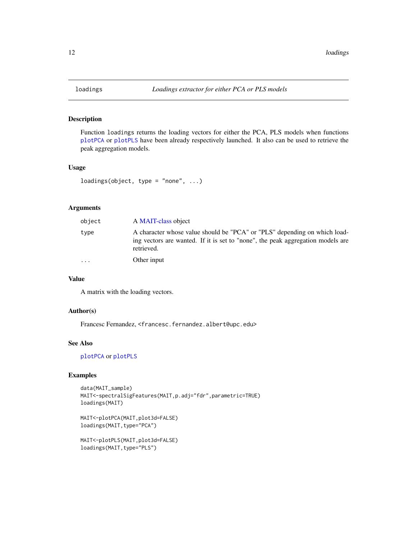<span id="page-11-0"></span>

Function loadings returns the loading vectors for either the PCA, PLS models when functions [plotPCA](#page-28-1) or [plotPLS](#page-29-1) have been already respectively launched. It also can be used to retrieve the peak aggregation models.

#### Usage

```
loadings(object, type = "none", ...)
```
# Arguments

| object   | A MAIT-class object                                                                                                                                                        |
|----------|----------------------------------------------------------------------------------------------------------------------------------------------------------------------------|
| type     | A character whose value should be "PCA" or "PLS" depending on which load-<br>ing vectors are wanted. If it is set to "none", the peak aggregation models are<br>retrieved. |
| $\cdots$ | Other input                                                                                                                                                                |

#### Value

A matrix with the loading vectors.

# Author(s)

Francesc Fernandez, <francesc.fernandez.albert@upc.edu>

#### See Also

[plotPCA](#page-28-1) or [plotPLS](#page-29-1)

# Examples

```
data(MAIT_sample)
MAIT<-spectralSigFeatures(MAIT,p.adj="fdr",parametric=TRUE)
loadings(MAIT)
```

```
MAIT<-plotPCA(MAIT,plot3d=FALSE)
loadings(MAIT, type="PCA")
```

```
MAIT<-plotPLS(MAIT,plot3d=FALSE)
loadings(MAIT, type="PLS")
```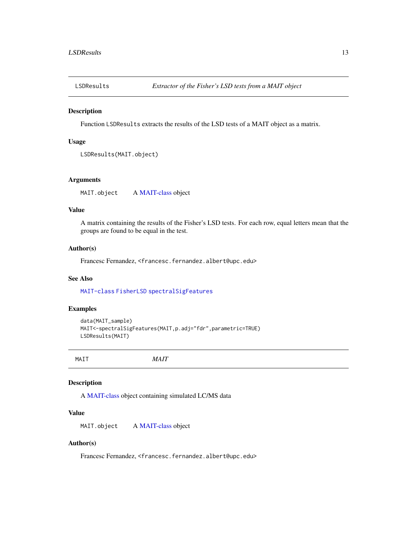<span id="page-12-0"></span>

Function LSDResults extracts the results of the LSD tests of a MAIT object as a matrix.

#### Usage

```
LSDResults(MAIT.object)
```
# Arguments

MAIT.object A [MAIT-class](#page-13-1) object

# Value

A matrix containing the results of the Fisher's LSD tests. For each row, equal letters mean that the groups are found to be equal in the test.

# Author(s)

Francesc Fernandez, <francesc.fernandez.albert@upc.edu>

# See Also

[MAIT-class](#page-13-1) [FisherLSD](#page-0-0) [spectralSigFeatures](#page-38-1)

#### Examples

```
data(MAIT_sample)
MAIT<-spectralSigFeatures(MAIT,p.adj="fdr",parametric=TRUE)
LSDResults(MAIT)
```
# MAIT *MAIT*

### Description

A [MAIT-class](#page-13-1) object containing simulated LC/MS data

#### Value

MAIT.object A [MAIT-class](#page-13-1) object

#### Author(s)

Francesc Fernandez, <francesc.fernandez.albert@upc.edu>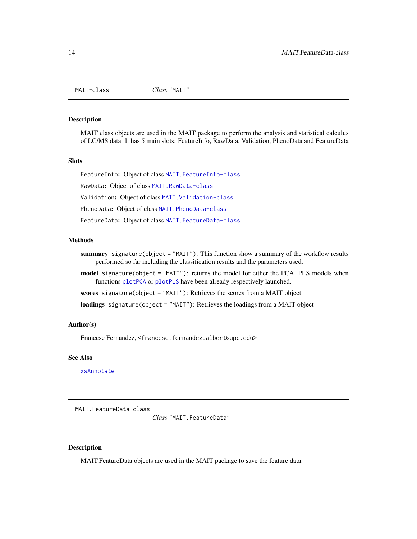<span id="page-13-1"></span><span id="page-13-0"></span>

MAIT class objects are used in the MAIT package to perform the analysis and statistical calculus of LC/MS data. It has 5 main slots: FeatureInfo, RawData, Validation, PhenoData and FeatureData

## **Slots**

FeatureInfo: Object of class [MAIT.FeatureInfo-class](#page-14-1)

RawData: Object of class [MAIT.RawData-class](#page-16-1)

Validation: Object of class MAIT. Validation-class

PhenoData: Object of class MAIT. PhenoData-class

FeatureData: Object of class MAIT. FeatureData-class

#### Methods

- summary signature(object = "MAIT"): This function show a summary of the workflow results performed so far including the classification results and the parameters used.
- model signature(object = "MAIT"): returns the model for either the PCA, PLS models when functions [plotPCA](#page-28-1) or [plotPLS](#page-29-1) have been already respectively launched.
- scores signature(object = "MAIT"): Retrieves the scores from a MAIT object

loadings signature(object = "MAIT"): Retrieves the loadings from a MAIT object

#### Author(s)

Francesc Fernandez, <francesc.fernandez.albert@upc.edu>

# See Also

[xsAnnotate](#page-0-0)

<span id="page-13-2"></span>MAIT.FeatureData-class

*Class* "MAIT.FeatureData"

#### Description

MAIT.FeatureData objects are used in the MAIT package to save the feature data.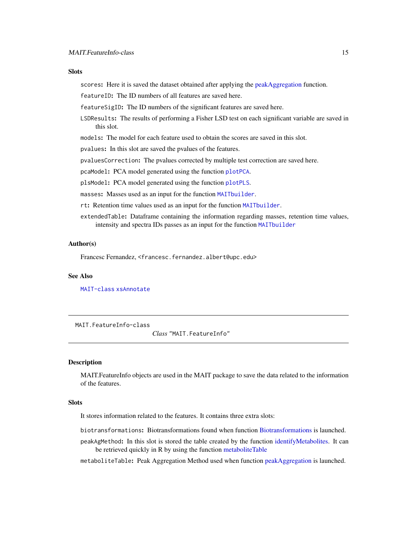#### <span id="page-14-0"></span>**Slots**

scores: Here it is saved the dataset obtained after applying the [peakAggregation](#page-0-0) function.

featureID: The ID numbers of all features are saved here.

featureSigID: The ID numbers of the significant features are saved here.

LSDResults: The results of performing a Fisher LSD test on each significant variable are saved in this slot.

models: The model for each feature used to obtain the scores are saved in this slot.

pvalues: In this slot are saved the pvalues of the features.

pvaluesCorrection: The pvalues corrected by multiple test correction are saved here.

pcaModel: PCA model generated using the function [plotPCA](#page-28-1).

plsModel: PCA model generated using the function [plotPLS](#page-29-1).

masses: Masses used as an input for the function [MAITbuilder](#page-18-1).

rt: Retention time values used as an input for the function [MAITbuilder](#page-18-1).

extendedTable: Dataframe containing the information regarding masses, retention time values, intensity and spectra IDs passes as an input for the function [MAITbuilder](#page-18-1)

#### Author(s)

Francesc Fernandez, <francesc.fernandez.albert@upc.edu>

#### See Also

[MAIT-class](#page-13-1) [xsAnnotate](#page-0-0)

<span id="page-14-1"></span>MAIT.FeatureInfo-class

*Class* "MAIT.FeatureInfo"

#### **Description**

MAIT.FeatureInfo objects are used in the MAIT package to save the data related to the information of the features.

#### **Slots**

It stores information related to the features. It contains three extra slots:

biotransformations: Biotransformations found when function [Biotransformations](#page-2-1) is launched.

peakAgMethod: In this slot is stored the table created by the function [identifyMetabolites.](#page-9-1) It can be retrieved quickly in R by using the function [metaboliteTable](#page-19-1)

metaboliteTable: Peak Aggregation Method used when function [peakAggregation](#page-0-0) is launched.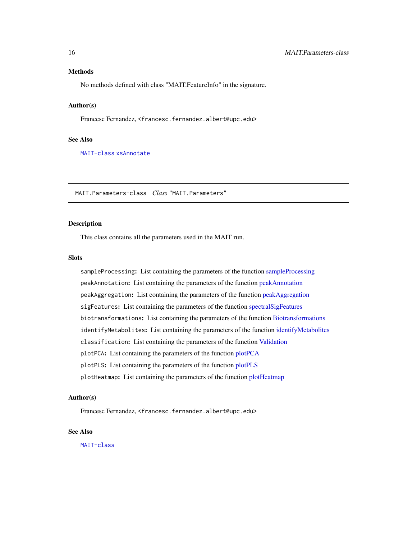#### <span id="page-15-0"></span>Methods

No methods defined with class "MAIT.FeatureInfo" in the signature.

#### Author(s)

Francesc Fernandez, <francesc.fernandez.albert@upc.edu>

# See Also

[MAIT-class](#page-13-1) [xsAnnotate](#page-0-0)

MAIT.Parameters-class *Class* "MAIT.Parameters"

# Description

This class contains all the parameters used in the MAIT run.

## **Slots**

[sampleProcessing](#page-34-1): List containing the parameters of the function sampleProcessing peakAnnotation: List containing the parameters of the function [peakAnnotation](#page-25-1) peakAggregation: List containing the parameters of the function [peakAggregation](#page-0-0) sigFeatures: List containing the parameters of the function [spectralSigFeatures](#page-38-1) biotransformations: List containing the parameters of the function [Biotransformations](#page-2-1) [identifyMetabolites](#page-9-1): List containing the parameters of the function identifyMetabolites classification: List containing the parameters of the function [Validation](#page-40-1) plotPCA: List containing the parameters of the function [plotPCA](#page-28-1) plotPLS: List containing the parameters of the function [plotPLS](#page-29-1) plotHeatmap: List containing the parameters of the function [plotHeatmap](#page-27-1)

# Author(s)

Francesc Fernandez, <francesc.fernandez.albert@upc.edu>

#### See Also

[MAIT-class](#page-13-1)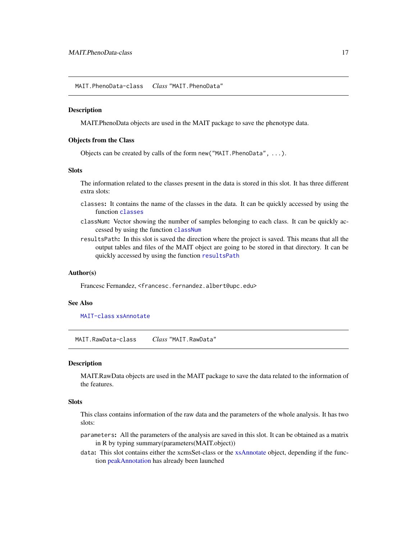<span id="page-16-2"></span><span id="page-16-0"></span>MAIT.PhenoData objects are used in the MAIT package to save the phenotype data.

#### Objects from the Class

Objects can be created by calls of the form new("MAIT.PhenoData", ...).

#### **Slots**

The information related to the classes present in the data is stored in this slot. It has three different extra slots:

- classes: It contains the name of the classes in the data. It can be quickly accessed by using the function [classes](#page-3-1)
- classNum: Vector showing the number of samples belonging to each class. It can be quickly accessed by using the function [classNum](#page-5-1)
- resultsPath: In this slot is saved the direction where the project is saved. This means that all the output tables and files of the MAIT object are going to be stored in that directory. It can be quickly accessed by using the function [resultsPath](#page-33-1)

#### Author(s)

Francesc Fernandez, <francesc.fernandez.albert@upc.edu>

#### See Also

[MAIT-class](#page-13-1) [xsAnnotate](#page-0-0)

<span id="page-16-1"></span>MAIT.RawData-class *Class* "MAIT.RawData"

# **Description**

MAIT.RawData objects are used in the MAIT package to save the data related to the information of the features.

# **Slots**

This class contains information of the raw data and the parameters of the whole analysis. It has two slots:

- parameters: All the parameters of the analysis are saved in this slot. It can be obtained as a matrix in R by typing summary(parameters(MAIT.object))
- data: This slot contains either the xcmsSet-class or the [xsAnnotate](#page-0-0) object, depending if the function [peakAnnotation](#page-25-1) has already been launched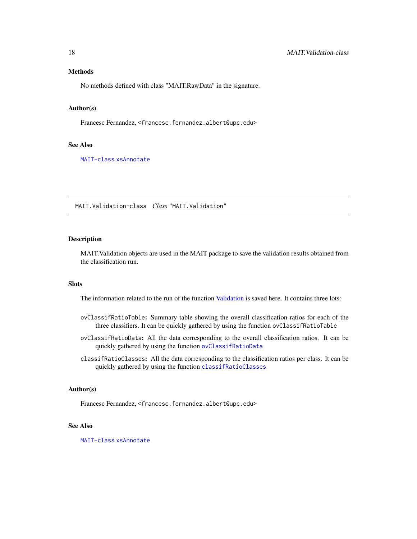#### <span id="page-17-0"></span>Methods

No methods defined with class "MAIT.RawData" in the signature.

#### Author(s)

Francesc Fernandez, <francesc.fernandez.albert@upc.edu>

#### See Also

[MAIT-class](#page-13-1) [xsAnnotate](#page-0-0)

<span id="page-17-1"></span>MAIT.Validation-class *Class* "MAIT.Validation"

#### Description

MAIT.Validation objects are used in the MAIT package to save the validation results obtained from the classification run.

#### **Slots**

The information related to the run of the function [Validation](#page-40-1) is saved here. It contains three lots:

- ovClassifRatioTable: Summary table showing the overall classification ratios for each of the three classifiers. It can be quickly gathered by using the function ovClassifRatioTable
- ovClassifRatioData: All the data corresponding to the overall classification ratios. It can be quickly gathered by using the function [ovClassifRatioData](#page-23-1)
- classifRatioClasses: All the data corresponding to the classification ratios per class. It can be quickly gathered by using the function [classifRatioClasses](#page-4-1)

#### Author(s)

Francesc Fernandez, <francesc.fernandez.albert@upc.edu>

# See Also

[MAIT-class](#page-13-1) [xsAnnotate](#page-0-0)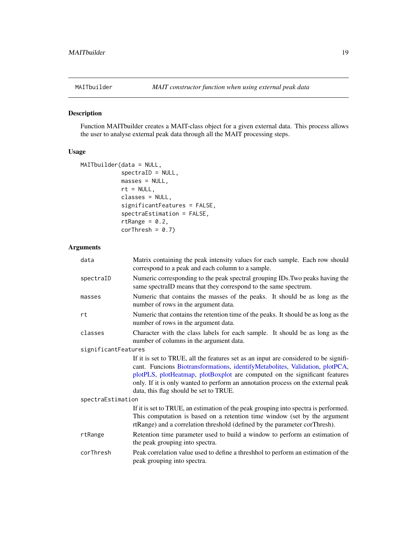<span id="page-18-1"></span><span id="page-18-0"></span>

Function MAITbuilder creates a MAIT-class object for a given external data. This process allows the user to analyse external peak data through all the MAIT processing steps.

#### Usage

```
MAITbuilder(data = NULL,
            spectraID = NULL,
            masses = NULL,
            rt = NULL,classes = NULL,
            significantFeatures = FALSE,
            spectraEstimation = FALSE,
            rtRange = 0.2,corThresh = 0.7
```
# Arguments

| data                | Matrix containing the peak intensity values for each sample. Each row should<br>correspond to a peak and each column to a sample.                                                                                                                                                                                                                                                |  |
|---------------------|----------------------------------------------------------------------------------------------------------------------------------------------------------------------------------------------------------------------------------------------------------------------------------------------------------------------------------------------------------------------------------|--|
| spectraID           | Numeric corresponding to the peak spectral grouping IDs. Two peaks having the<br>same spectraID means that they correspond to the same spectrum.                                                                                                                                                                                                                                 |  |
| masses              | Numeric that contains the masses of the peaks. It should be as long as the<br>number of rows in the argument data.                                                                                                                                                                                                                                                               |  |
| rt                  | Numeric that contains the retention time of the peaks. It should be as long as the<br>number of rows in the argument data.                                                                                                                                                                                                                                                       |  |
| classes             | Character with the class labels for each sample. It should be as long as the<br>number of columns in the argument data.                                                                                                                                                                                                                                                          |  |
| significantFeatures |                                                                                                                                                                                                                                                                                                                                                                                  |  |
|                     | If it is set to TRUE, all the features set as an input are considered to be signifi-<br>cant. Funcions Biotransformations, identifyMetabolites, Validation, plotPCA,<br>plotPLS, plotHeatmap, plotBoxplot are computed on the significant features<br>only. If it is only wanted to perform an annotation process on the external peak<br>data, this flag should be set to TRUE. |  |
| spectraEstimation   |                                                                                                                                                                                                                                                                                                                                                                                  |  |
|                     | If it is set to TRUE, an estimation of the peak grouping into spectra is performed.<br>This computation is based on a retention time window (set by the argument<br>rtRange) and a correlation threshold (defined by the parameter corThresh).                                                                                                                                   |  |
| rtRange             | Retention time parameter used to build a window to perform an estimation of<br>the peak grouping into spectra.                                                                                                                                                                                                                                                                   |  |
| corThresh           | Peak correlation value used to define a threshhol to perform an estimation of the<br>peak grouping into spectra.                                                                                                                                                                                                                                                                 |  |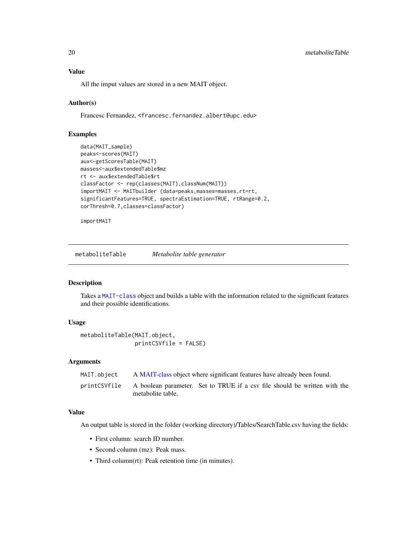<span id="page-19-0"></span>All the imput values are stored in a new MAIT object.

### Author(s)

Francesc Fernandez, <francesc.fernandez.albert@upc.edu>

# Examples

```
data(MAIT_sample)
peaks<-scores(MAIT)
aux<-getScoresTable(MAIT)
masses<-aux$extendedTable$mz
rt <- aux$extendedTable$rt
classFactor <- rep(classes(MAIT),classNum(MAIT))
importMAIT <- MAITbuilder (data=peaks,masses=masses,rt=rt,
significantFeatures=TRUE, spectraEstimation=TRUE, rtRange=0.2,
corThresh=0.7,classes=classFactor)
```
importMAIT

<span id="page-19-1"></span>metaboliteTable *Metabolite table generator*

#### Description

Takes a [MAIT-class](#page-13-1) object and builds a table with the information related to the significant features and their possible identifications.

# Usage

```
metaboliteTable(MAIT.object,
                printCSVfile = FALSE)
```
#### Arguments

| MAIT.object  | A MAIT-class object where significant features have already been found.                        |  |
|--------------|------------------------------------------------------------------------------------------------|--|
| printCSVfile | A boolean parameter. Set to TRUE if a csy file should be written with the<br>metabolite table. |  |

# Value

An output table is stored in the folder (working directory)/Tables/SearchTable.csv having the fields:

- First column: search ID number.
- Second column (mz): Peak mass.
- Third column(rt): Peak retention time (in minutes).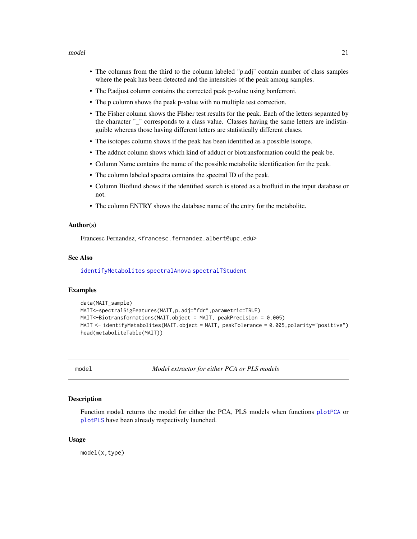#### <span id="page-20-0"></span>model 21

- The columns from the third to the column labeled "p.adj" contain number of class samples where the peak has been detected and the intensities of the peak among samples.
- The P.adjust column contains the corrected peak p-value using bonferroni.
- The p column shows the peak p-value with no multiple test correction.
- The Fisher column shows the FIsher test results for the peak. Each of the letters separated by the character "\_" corresponds to a class value. Classes having the same letters are indistinguible whereas those having different letters are statistically different clases.
- The isotopes column shows if the peak has been identified as a possible isotope.
- The adduct column shows which kind of adduct or biotransformation could the peak be.
- Column Name contains the name of the possible metabolite identification for the peak.
- The column labeled spectra contains the spectral ID of the peak.
- Column Biofluid shows if the identified search is stored as a biofluid in the input database or not.
- The column ENTRY shows the database name of the entry for the metabolite.

#### Author(s)

Francesc Fernandez, <francesc.fernandez.albert@upc.edu>

## See Also

[identifyMetabolites](#page-9-1) [spectralAnova](#page-0-0) [spectralTStudent](#page-0-0)

#### Examples

```
data(MAIT_sample)
MAIT<-spectralSigFeatures(MAIT,p.adj="fdr",parametric=TRUE)
MAIT<-Biotransformations(MAIT.object = MAIT, peakPrecision = 0.005)
MAIT <- identifyMetabolites(MAIT.object = MAIT, peakTolerance = 0.005,polarity="positive")
head(metaboliteTable(MAIT))
```
model *Model extractor for either PCA or PLS models*

#### **Description**

Function model returns the model for either the PCA, PLS models when functions [plotPCA](#page-28-1) or [plotPLS](#page-29-1) have been already respectively launched.

#### Usage

model(x,type)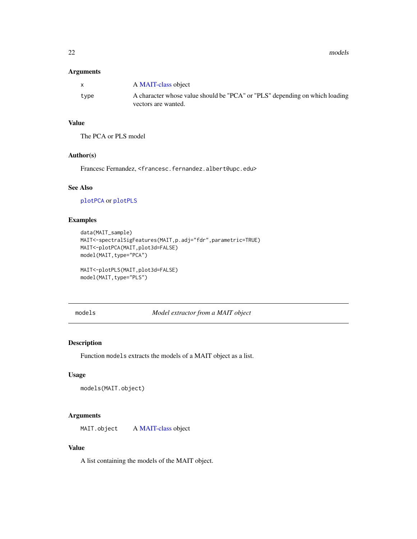<span id="page-21-0"></span>22 models

#### Arguments

| $\mathsf{x}$ | A MAIT-class object                                                                                |
|--------------|----------------------------------------------------------------------------------------------------|
| type         | A character whose value should be "PCA" or "PLS" depending on which loading<br>vectors are wanted. |

# Value

The PCA or PLS model

# Author(s)

Francesc Fernandez, <francesc.fernandez.albert@upc.edu>

# See Also

[plotPCA](#page-28-1) or [plotPLS](#page-29-1)

# Examples

```
data(MAIT_sample)
MAIT<-spectralSigFeatures(MAIT,p.adj="fdr",parametric=TRUE)
MAIT<-plotPCA(MAIT,plot3d=FALSE)
model(MAIT, type="PCA")
```

```
MAIT<-plotPLS(MAIT,plot3d=FALSE)
model(MAIT,type="PLS")
```
models *Model extractor from a MAIT object*

# Description

Function models extracts the models of a MAIT object as a list.

# Usage

```
models(MAIT.object)
```
# Arguments

MAIT.object A [MAIT-class](#page-13-1) object

#### Value

A list containing the models of the MAIT object.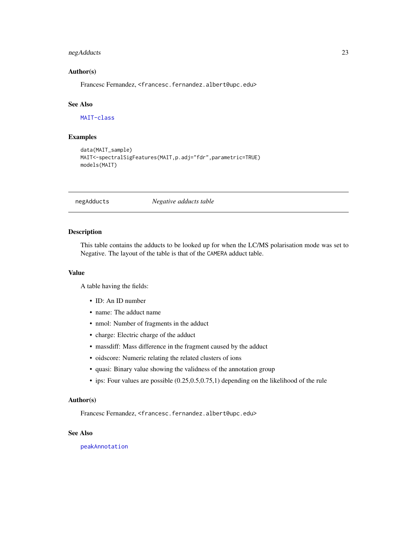# <span id="page-22-0"></span>negAdducts 23

#### Author(s)

Francesc Fernandez, <francesc.fernandez.albert@upc.edu>

# See Also

[MAIT-class](#page-13-1)

# Examples

```
data(MAIT_sample)
MAIT<-spectralSigFeatures(MAIT,p.adj="fdr",parametric=TRUE)
models(MAIT)
```
negAdducts *Negative adducts table*

# Description

This table contains the adducts to be looked up for when the LC/MS polarisation mode was set to Negative. The layout of the table is that of the CAMERA adduct table.

#### Value

A table having the fields:

- ID: An ID number
- name: The adduct name
- nmol: Number of fragments in the adduct
- charge: Electric charge of the adduct
- massdiff: Mass difference in the fragment caused by the adduct
- oidscore: Numeric relating the related clusters of ions
- quasi: Binary value showing the validness of the annotation group
- ips: Four values are possible (0.25,0.5,0.75,1) depending on the likelihood of the rule

### Author(s)

Francesc Fernandez, <francesc.fernandez.albert@upc.edu>

#### See Also

[peakAnnotation](#page-25-1)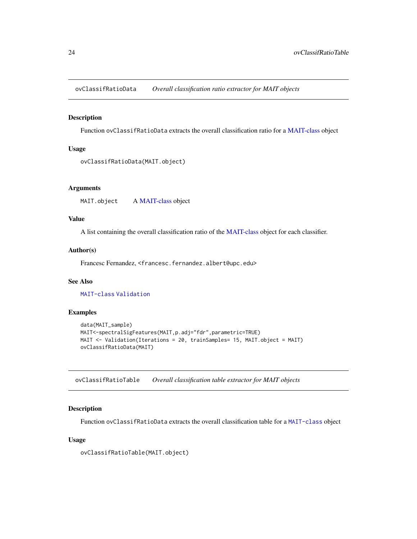<span id="page-23-1"></span><span id="page-23-0"></span>ovClassifRatioData *Overall classification ratio extractor for MAIT objects*

# Description

Function ovClassifRatioData extracts the overall classification ratio for a [MAIT-class](#page-13-1) object

# Usage

```
ovClassifRatioData(MAIT.object)
```
#### Arguments

MAIT.object A [MAIT-class](#page-13-1) object

#### Value

A list containing the overall classification ratio of the [MAIT-class](#page-13-1) object for each classifier.

# Author(s)

Francesc Fernandez, <francesc.fernandez.albert@upc.edu>

# See Also

[MAIT-class](#page-13-1) [Validation](#page-40-1)

#### Examples

```
data(MAIT_sample)
MAIT<-spectralSigFeatures(MAIT,p.adj="fdr",parametric=TRUE)
MAIT <- Validation(Iterations = 20, trainSamples= 15, MAIT.object = MAIT)
ovClassifRatioData(MAIT)
```
ovClassifRatioTable *Overall classification table extractor for MAIT objects*

# Description

Function ovClassifRatioData extracts the overall classification table for a [MAIT-class](#page-13-1) object

#### Usage

ovClassifRatioTable(MAIT.object)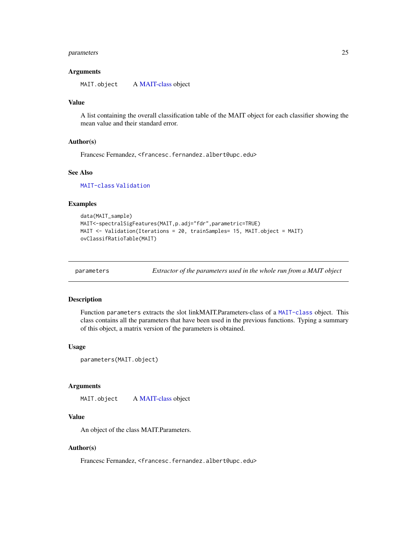#### <span id="page-24-0"></span>parameters 25

#### Arguments

MAIT.object A [MAIT-class](#page-13-1) object

#### Value

A list containing the overall classification table of the MAIT object for each classifier showing the mean value and their standard error.

#### Author(s)

Francesc Fernandez, <francesc.fernandez.albert@upc.edu>

### See Also

[MAIT-class](#page-13-1) [Validation](#page-40-1)

#### Examples

```
data(MAIT_sample)
MAIT<-spectralSigFeatures(MAIT,p.adj="fdr",parametric=TRUE)
MAIT <- Validation(Iterations = 20, trainSamples= 15, MAIT.object = MAIT)
ovClassifRatioTable(MAIT)
```
parameters *Extractor of the parameters used in the whole run from a MAIT object*

## Description

Function parameters extracts the slot linkMAIT.Parameters-class of a [MAIT-class](#page-13-1) object. This class contains all the parameters that have been used in the previous functions. Typing a summary of this object, a matrix version of the parameters is obtained.

#### Usage

```
parameters(MAIT.object)
```
#### Arguments

MAIT.object A [MAIT-class](#page-13-1) object

#### Value

An object of the class MAIT.Parameters.

#### Author(s)

Francesc Fernandez, <francesc.fernandez.albert@upc.edu>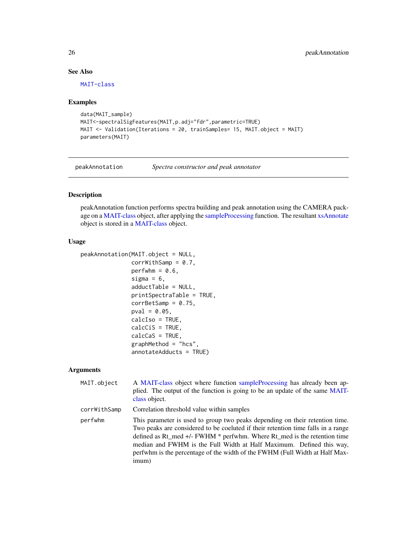# See Also

[MAIT-class](#page-13-1)

#### Examples

```
data(MAIT_sample)
MAIT<-spectralSigFeatures(MAIT,p.adj="fdr",parametric=TRUE)
MAIT <- Validation(Iterations = 20, trainSamples= 15, MAIT.object = MAIT)
parameters(MAIT)
```
<span id="page-25-1"></span>peakAnnotation *Spectra constructor and peak annotator*

# Description

peakAnnotation function performs spectra building and peak annotation using the CAMERA package on a [MAIT-class](#page-13-1) object, after applying the [sampleProcessing](#page-34-1) function. The resultant [xsAnnotate](#page-0-0) object is stored in a [MAIT-class](#page-13-1) object.

#### Usage

```
peakAnnotation(MAIT.object = NULL,
               corrWithSamp = 0.7,
               perfwhm = 0.6,
               sigma = 6,
               adductTable = NULL,
               printSpectraTable = TRUE,
               corrBetsamp = 0.75,
               pval = 0.05,
               calcIso = TRUE,
               calcCiS = TRUE,
               calcCas = TRUE,graphMethod = "hcs",
               annotateAdducts = TRUE)
```
#### Arguments

| MAIT.object  | A MAIT-class object where function sampleProcessing has already been ap-<br>plied. The output of the function is going to be an update of the same MAIT-<br>class object.                                                                                                                                                                                                                                    |
|--------------|--------------------------------------------------------------------------------------------------------------------------------------------------------------------------------------------------------------------------------------------------------------------------------------------------------------------------------------------------------------------------------------------------------------|
| corrWithSamp | Correlation threshold value within samples                                                                                                                                                                                                                                                                                                                                                                   |
| perfwhm      | This parameter is used to group two peaks depending on their retention time.<br>Two peaks are considered to be coeluted if their retention time falls in a range<br>defined as Rt_med +/- FWHM * perfwhm. Where Rt_med is the retention time<br>median and FWHM is the Full Width at Half Maximum. Defined this way,<br>perfwhm is the percentage of the width of the FWHM (Full Width at Half Max-<br>imum) |

<span id="page-25-0"></span>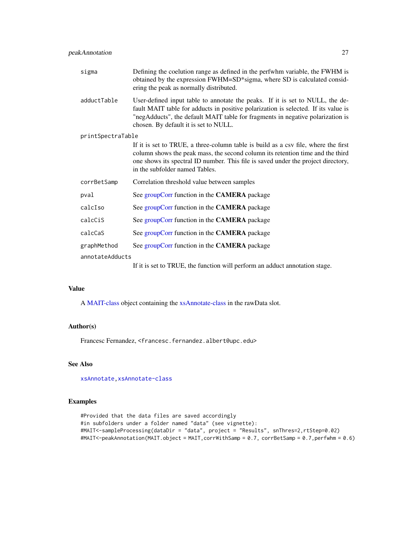<span id="page-26-0"></span>

| sigma             | Defining the coelution range as defined in the perfwhm variable, the FWHM is<br>obtained by the expression FWHM=SD*sigma, where SD is calculated consid-<br>ering the peak as normally distributed.                                                                                            |  |
|-------------------|------------------------------------------------------------------------------------------------------------------------------------------------------------------------------------------------------------------------------------------------------------------------------------------------|--|
| adductTable       | User-defined input table to annotate the peaks. If it is set to NULL, the de-<br>fault MAIT table for adducts in positive polarization is selected. If its value is<br>"negAdducts", the default MAIT table for fragments in negative polarization is<br>chosen. By default it is set to NULL. |  |
| printSpectraTable |                                                                                                                                                                                                                                                                                                |  |
|                   | If it is set to TRUE, a three-column table is build as a csv file, where the first<br>column shows the peak mass, the second column its retention time and the third<br>one shows its spectral ID number. This file is saved under the project directory,<br>in the subfolder named Tables.    |  |
| corrBetSamp       | Correlation threshold value between samples                                                                                                                                                                                                                                                    |  |
| pval              | See groupCorr function in the CAMERA package                                                                                                                                                                                                                                                   |  |
| calcIso           | See groupCorr function in the CAMERA package                                                                                                                                                                                                                                                   |  |
| calcCiS           | See groupCorr function in the CAMERA package                                                                                                                                                                                                                                                   |  |
| calcCaS           | See groupCorr function in the CAMERA package                                                                                                                                                                                                                                                   |  |
| graphMethod       | See groupCorr function in the CAMERA package                                                                                                                                                                                                                                                   |  |
| annotateAdducts   |                                                                                                                                                                                                                                                                                                |  |
|                   | If it is set to TRUE, the function will perform an adduct annotation stage.                                                                                                                                                                                                                    |  |

# Value

A [MAIT-class](#page-13-1) object containing the [xsAnnotate-class](#page-0-0) in the rawData slot.

# Author(s)

Francesc Fernandez, <francesc.fernandez.albert@upc.edu>

# See Also

[xsAnnotate,xsAnnotate-class](#page-0-0)

# Examples

```
#Provided that the data files are saved accordingly
#in subfolders under a folder named "data" (see vignette):
#MAIT<-sampleProcessing(dataDir = "data", project = "Results", snThres=2,rtStep=0.02)
#MAIT<-peakAnnotation(MAIT.object = MAIT,corrWithSamp = 0.7, corrBetSamp = 0.7,perfwhm = 0.6)
```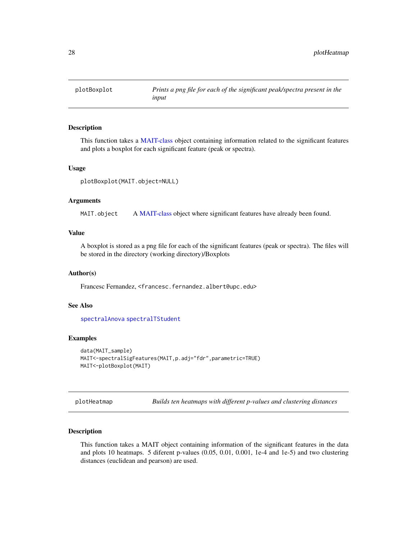<span id="page-27-2"></span><span id="page-27-0"></span>

This function takes a [MAIT-class](#page-13-1) object containing information related to the significant features and plots a boxplot for each significant feature (peak or spectra).

#### Usage

```
plotBoxplot(MAIT.object=NULL)
```
#### Arguments

MAIT.object A [MAIT-class](#page-13-1) object where significant features have already been found.

# Value

A boxplot is stored as a png file for each of the significant features (peak or spectra). The files will be stored in the directory (working directory)/Boxplots

#### Author(s)

Francesc Fernandez, <francesc.fernandez.albert@upc.edu>

#### See Also

[spectralAnova](#page-0-0) [spectralTStudent](#page-0-0)

#### Examples

```
data(MAIT_sample)
MAIT<-spectralSigFeatures(MAIT,p.adj="fdr",parametric=TRUE)
MAIT<-plotBoxplot(MAIT)
```
<span id="page-27-1"></span>plotHeatmap *Builds ten heatmaps with different p-values and clustering distances*

#### Description

This function takes a MAIT object containing information of the significant features in the data and plots 10 heatmaps. 5 diferent p-values (0.05, 0.01, 0.001, 1e-4 and 1e-5) and two clustering distances (euclidean and pearson) are used.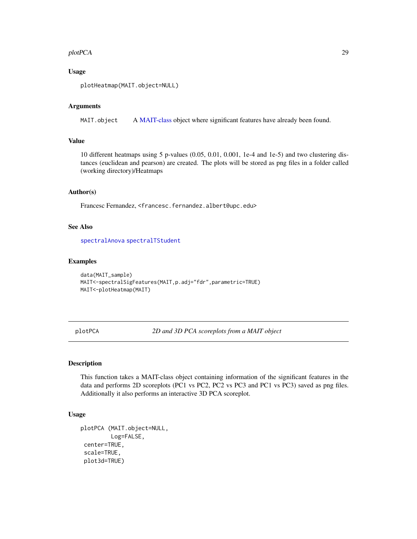#### <span id="page-28-0"></span>plotPCA 29

#### Usage

```
plotHeatmap(MAIT.object=NULL)
```
#### Arguments

MAIT.object A [MAIT-class](#page-13-1) object where significant features have already been found.

#### Value

10 different heatmaps using 5 p-values (0.05, 0.01, 0.001, 1e-4 and 1e-5) and two clustering distances (euclidean and pearson) are created. The plots will be stored as png files in a folder called (working directory)/Heatmaps

#### Author(s)

Francesc Fernandez, <francesc.fernandez.albert@upc.edu>

#### See Also

[spectralAnova](#page-0-0) [spectralTStudent](#page-0-0)

## Examples

```
data(MAIT_sample)
MAIT<-spectralSigFeatures(MAIT,p.adj="fdr",parametric=TRUE)
MAIT<-plotHeatmap(MAIT)
```
<span id="page-28-1"></span>plotPCA *2D and 3D PCA scoreplots from a MAIT object*

# Description

This function takes a MAIT-class object containing information of the significant features in the data and performs 2D scoreplots (PC1 vs PC2, PC2 vs PC3 and PC1 vs PC3) saved as png files. Additionally it also performs an interactive 3D PCA scoreplot.

#### Usage

```
plotPCA (MAIT.object=NULL,
         Log=FALSE,
center=TRUE,
scale=TRUE,
plot3d=TRUE)
```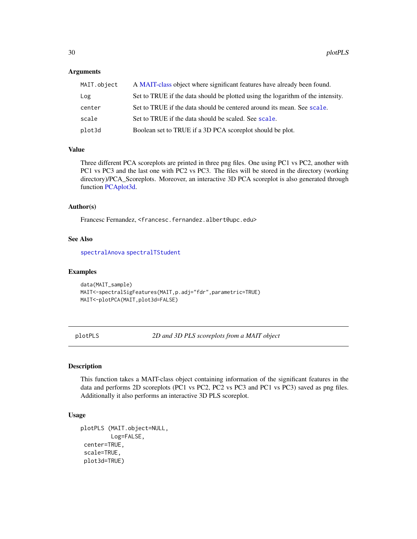#### **Arguments**

| MAIT.object | A MAIT-class object where significant features have already been found.         |
|-------------|---------------------------------------------------------------------------------|
| Log         | Set to TRUE if the data should be plotted using the logarithm of the intensity. |
| center      | Set to TRUE if the data should be centered around its mean. See scale.          |
| scale       | Set to TRUE if the data should be scaled. See scale.                            |
| plot3d      | Boolean set to TRUE if a 3D PCA scoreplot should be plot.                       |

# Value

Three different PCA scoreplots are printed in three png files. One using PC1 vs PC2, another with PC1 vs PC3 and the last one with PC2 vs PC3. The files will be stored in the directory (working directory)/PCA\_Scoreplots. Moreover, an interactive 3D PCA scoreplot is also generated through function [PCAplot3d.](#page-0-0)

#### Author(s)

Francesc Fernandez, <francesc.fernandez.albert@upc.edu>

# See Also

[spectralAnova](#page-0-0) [spectralTStudent](#page-0-0)

#### Examples

```
data(MAIT_sample)
MAIT<-spectralSigFeatures(MAIT,p.adj="fdr",parametric=TRUE)
MAIT<-plotPCA(MAIT,plot3d=FALSE)
```
<span id="page-29-1"></span>plotPLS *2D and 3D PLS scoreplots from a MAIT object*

### Description

This function takes a MAIT-class object containing information of the significant features in the data and performs 2D scoreplots (PC1 vs PC2, PC2 vs PC3 and PC1 vs PC3) saved as png files. Additionally it also performs an interactive 3D PLS scoreplot.

#### Usage

```
plotPLS (MAIT.object=NULL,
         Log=FALSE,
center=TRUE,
scale=TRUE,
plot3d=TRUE)
```
<span id="page-29-0"></span>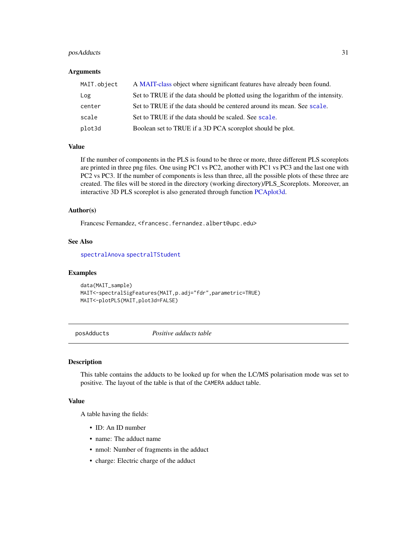# <span id="page-30-0"></span>posAdducts 31

#### Arguments

| MAIT.object | A MAIT-class object where significant features have already been found.         |
|-------------|---------------------------------------------------------------------------------|
| Log         | Set to TRUE if the data should be plotted using the logarithm of the intensity. |
| center      | Set to TRUE if the data should be centered around its mean. See scale.          |
| scale       | Set to TRUE if the data should be scaled. See scale.                            |
| plot3d      | Boolean set to TRUE if a 3D PCA scoreplot should be plot.                       |

# Value

If the number of components in the PLS is found to be three or more, three different PLS scoreplots are printed in three png files. One using PC1 vs PC2, another with PC1 vs PC3 and the last one with PC2 vs PC3. If the number of components is less than three, all the possible plots of these three are created. The files will be stored in the directory (working directory)/PLS\_Scoreplots. Moreover, an interactive 3D PLS scoreplot is also generated through function [PCAplot3d.](#page-0-0)

#### Author(s)

Francesc Fernandez, <francesc.fernandez.albert@upc.edu>

#### See Also

[spectralAnova](#page-0-0) [spectralTStudent](#page-0-0)

#### Examples

data(MAIT\_sample) MAIT<-spectralSigFeatures(MAIT,p.adj="fdr",parametric=TRUE) MAIT<-plotPLS(MAIT,plot3d=FALSE)

posAdducts *Positive adducts table*

#### Description

This table contains the adducts to be looked up for when the LC/MS polarisation mode was set to positive. The layout of the table is that of the CAMERA adduct table.

#### Value

A table having the fields:

- ID: An ID number
- name: The adduct name
- nmol: Number of fragments in the adduct
- charge: Electric charge of the adduct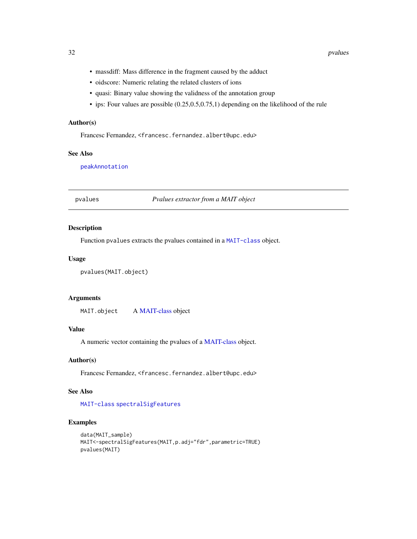- <span id="page-31-0"></span>• massdiff: Mass difference in the fragment caused by the adduct
- oidscore: Numeric relating the related clusters of ions
- quasi: Binary value showing the validness of the annotation group
- ips: Four values are possible (0.25,0.5,0.75,1) depending on the likelihood of the rule

#### Author(s)

Francesc Fernandez, <francesc.fernandez.albert@upc.edu>

#### See Also

[peakAnnotation](#page-25-1)

pvalues *Pvalues extractor from a MAIT object*

#### Description

Function pvalues extracts the pvalues contained in a [MAIT-class](#page-13-1) object.

# Usage

pvalues(MAIT.object)

#### Arguments

MAIT.object A [MAIT-class](#page-13-1) object

# Value

A numeric vector containing the pvalues of a [MAIT-class](#page-13-1) object.

#### Author(s)

Francesc Fernandez, <francesc.fernandez.albert@upc.edu>

#### See Also

# [MAIT-class](#page-13-1) [spectralSigFeatures](#page-38-1)

# Examples

```
data(MAIT_sample)
MAIT<-spectralSigFeatures(MAIT,p.adj="fdr",parametric=TRUE)
pvalues(MAIT)
```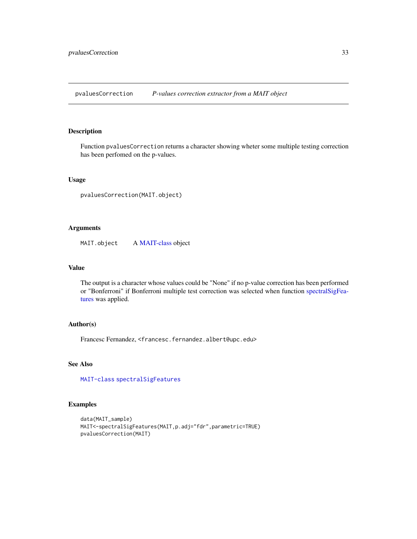<span id="page-32-0"></span>pvaluesCorrection *P-values correction extractor from a MAIT object*

## Description

Function pvaluesCorrection returns a character showing wheter some multiple testing correction has been perfomed on the p-values.

# Usage

pvaluesCorrection(MAIT.object)

# Arguments

MAIT.object A [MAIT-class](#page-13-1) object

#### Value

The output is a character whose values could be "None" if no p-value correction has been performed or "Bonferroni" if Bonferroni multiple test correction was selected when function [spectralSigFea](#page-38-1)[tures](#page-38-1) was applied.

# Author(s)

Francesc Fernandez, <francesc.fernandez.albert@upc.edu>

# See Also

[MAIT-class](#page-13-1) [spectralSigFeatures](#page-38-1)

# Examples

```
data(MAIT_sample)
MAIT<-spectralSigFeatures(MAIT,p.adj="fdr",parametric=TRUE)
pvaluesCorrection(MAIT)
```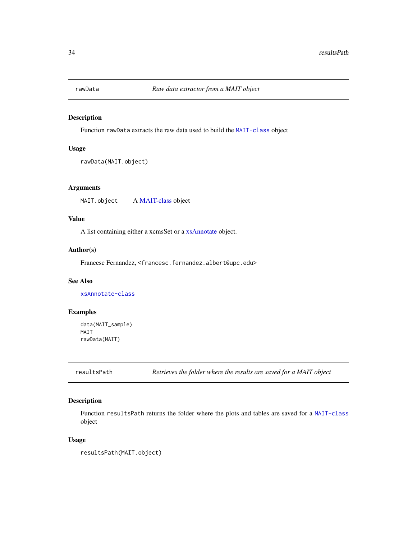<span id="page-33-2"></span><span id="page-33-0"></span>

Function rawData extracts the raw data used to build the [MAIT-class](#page-13-1) object

#### Usage

rawData(MAIT.object)

# Arguments

MAIT.object A [MAIT-class](#page-13-1) object

# Value

A list containing either a xcmsSet or a [xsAnnotate](#page-0-0) object.

#### Author(s)

Francesc Fernandez, <francesc.fernandez.albert@upc.edu>

# See Also

[xsAnnotate-class](#page-0-0)

# Examples

data(MAIT\_sample) MAIT rawData(MAIT)

<span id="page-33-1"></span>resultsPath *Retrieves the folder where the results are saved for a MAIT object*

# Description

Function resultsPath returns the folder where the plots and tables are saved for a [MAIT-class](#page-13-1) object

#### Usage

resultsPath(MAIT.object)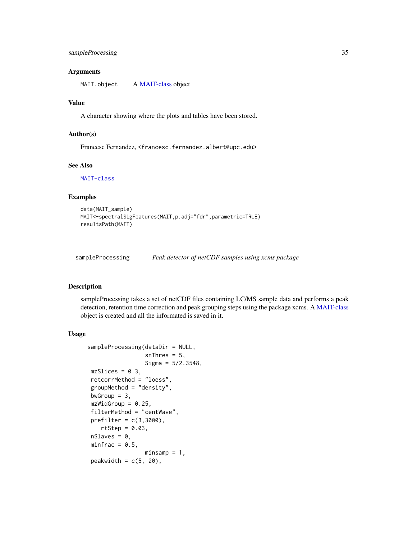#### <span id="page-34-0"></span>**Arguments**

MAIT.object A [MAIT-class](#page-13-1) object

# Value

A character showing where the plots and tables have been stored.

# Author(s)

Francesc Fernandez, <francesc.fernandez.albert@upc.edu>

# See Also

[MAIT-class](#page-13-1)

#### Examples

```
data(MAIT_sample)
MAIT<-spectralSigFeatures(MAIT,p.adj="fdr",parametric=TRUE)
resultsPath(MAIT)
```
<span id="page-34-1"></span>sampleProcessing *Peak detector of netCDF samples using xcms package*

#### Description

sampleProcessing takes a set of netCDF files containing LC/MS sample data and performs a peak detection, retention time correction and peak grouping steps using the package xcms. A [MAIT-class](#page-13-1) object is created and all the informated is saved in it.

#### Usage

```
sampleProcessing(dataDir = NULL,
                 snThres = 5,
                 Sigma = 5/2.3548,
mzSlices = 0.3,
retcorrMethod = "loess",
groupMethod = "density",
bwGroup = 3,
mzWidGroup = 0.25,
filterMethod = "centWave",
prefilter = c(3,3000),
   rtStep = 0.03,
nSlaves = 0,
minfrac = 0.5,
                 min samp = 1,peakwidth = c(5, 20),
```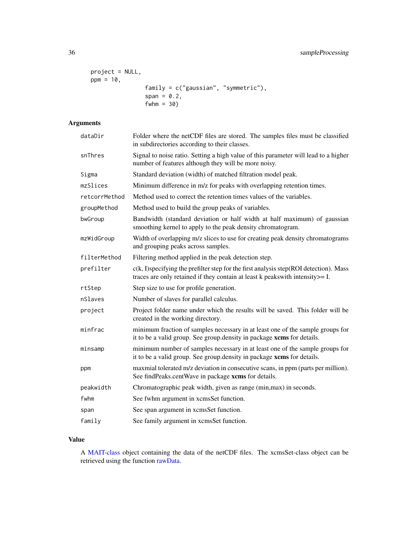```
project = NULL,
ppm = 10,family = c("gaussian", "symmetric"),
                span = 0.2,
                fwhm = 30)
```
# Arguments

| dataDir       | Folder where the netCDF files are stored. The samples files must be classified<br>in subdirectories according to their classes.                                           |
|---------------|---------------------------------------------------------------------------------------------------------------------------------------------------------------------------|
| snThres       | Signal to noise ratio. Setting a high value of this parameter will lead to a higher<br>number of features although they will be more noisy.                               |
| Sigma         | Standard deviation (width) of matched filtration model peak.                                                                                                              |
| mzSlices      | Minimum difference in m/z for peaks with overlapping retention times.                                                                                                     |
| retcorrMethod | Method used to correct the retention times values of the variables.                                                                                                       |
| groupMethod   | Method used to build the group peaks of variables.                                                                                                                        |
| bwGroup       | Bandwidth (standard deviation or half width at half maximum) of gaussian<br>smoothing kernel to apply to the peak density chromatogram.                                   |
| mzWidGroup    | Width of overlapping m/z slices to use for creating peak density chromatograms<br>and grouping peaks across samples.                                                      |
| filterMethod  | Filtering method applied in the peak detection step.                                                                                                                      |
| prefilter     | $c(k, I)$ specifying the prefilter step for the first analysis step(ROI detection). Mass<br>traces are only retained if they contain at least k peakswith intensity >= I. |
| rtStep        | Step size to use for profile generation.                                                                                                                                  |
| nSlaves       | Number of slaves for parallel calculus.                                                                                                                                   |
| project       | Project folder name under which the results will be saved. This folder will be<br>created in the working directory.                                                       |
| minfrac       | minimum fraction of samples necessary in at least one of the sample groups for<br>it to be a valid group. See group.density in package xcms for details.                  |
| minsamp       | minimum number of samples necessary in at least one of the sample groups for<br>it to be a valid group. See group.density in package xcms for details.                    |
| ppm           | maxmial tolerated m/z deviation in consecutive scans, in ppm (parts per million).<br>See findPeaks.centWave in package xcms for details.                                  |
| peakwidth     | Chromatographic peak width, given as range (min, max) in seconds.                                                                                                         |
| fwhm          | See fwhm argument in xcmsSet function.                                                                                                                                    |
| span          | See span argument in xcmsSet function.                                                                                                                                    |
| family        | See family argument in xcmsSet function.                                                                                                                                  |

# Value

A [MAIT-class](#page-13-1) object containing the data of the netCDF files. The xcmsSet-class object can be retrieved using the function [rawData.](#page-33-2)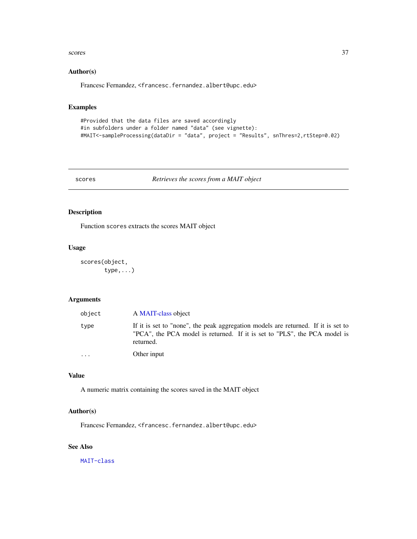#### <span id="page-36-0"></span>scores 37

#### Author(s)

Francesc Fernandez, <francesc.fernandez.albert@upc.edu>

# Examples

```
#Provided that the data files are saved accordingly
#in subfolders under a folder named "data" (see vignette):
#MAIT<-sampleProcessing(dataDir = "data", project = "Results", snThres=2,rtStep=0.02)
```
scores *Retrieves the scores from a MAIT object*

# Description

Function scores extracts the scores MAIT object

#### Usage

```
scores(object,
       type,...)
```
# Arguments

| object | A MAIT-class object                                                                                                                                                         |
|--------|-----------------------------------------------------------------------------------------------------------------------------------------------------------------------------|
| type   | If it is set to "none", the peak aggregation models are returned. If it is set to<br>"PCA", the PCA model is returned. If it is set to "PLS", the PCA model is<br>returned. |
| .      | Other input                                                                                                                                                                 |

# Value

A numeric matrix containing the scores saved in the MAIT object

# Author(s)

Francesc Fernandez, <francesc.fernandez.albert@upc.edu>

# See Also

[MAIT-class](#page-13-1)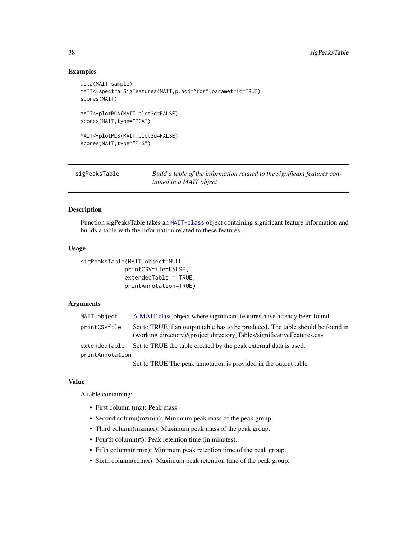# <span id="page-37-0"></span>Examples

```
data(MAIT_sample)
MAIT<-spectralSigFeatures(MAIT,p.adj="fdr",parametric=TRUE)
scores(MAIT)
MAIT<-plotPCA(MAIT,plot3d=FALSE)
scores(MAIT, type="PCA")
MAIT<-plotPLS(MAIT,plot3d=FALSE)
scores(MAIT, type="PLS")
```
<span id="page-37-1"></span>

| sigPeaksTable | Build a table of the information related to the significant features con- |
|---------------|---------------------------------------------------------------------------|
|               | tained in a MAIT object                                                   |

# Description

Function sigPeaksTable takes an [MAIT-class](#page-13-1) object containing significant feature information and builds a table with the information related to these features.

# Usage

```
sigPeaksTable(MAIT.object=NULL,
             printCSVfile=FALSE,
             extendedTable = TRUE,
             printAnnotation=TRUE)
```
# Arguments

| MAIT.object     | A MAIT-class object where significant features have already been found.                                                                                     |
|-----------------|-------------------------------------------------------------------------------------------------------------------------------------------------------------|
| printCSVfile    | Set to TRUE if an output table has to be produced. The table should be found in<br>(working directory)/(project directory)Tables/significativeFeatures.csv. |
| extendedTable   | Set to TRUE the table created by the peak external data is used.                                                                                            |
| printAnnotation |                                                                                                                                                             |
|                 | the contract of the contract of the contract of the contract of the contract of the contract of the contract of                                             |

Set to TRUE The peak annotation is provided in the output table

# Value

A table containing:

- First column (mz): Peak mass
- Second column(mzmin): Minimum peak mass of the peak group.
- Third column(mzmax): Maximum peak mass of the peak group.
- Fourth column(rt): Peak retention time (in minutes).
- Fifth column(rtmin): Minimum peak retention time of the peak group.
- Sixth column(rtmax): Maximum peak retention time of the peak group.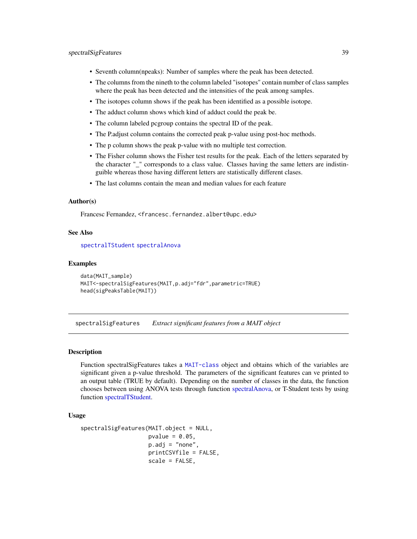- <span id="page-38-0"></span>• Seventh column(npeaks): Number of samples where the peak has been detected.
- The columns from the nineth to the column labeled "isotopes" contain number of class samples where the peak has been detected and the intensities of the peak among samples.
- The isotopes column shows if the peak has been identified as a possible isotope.
- The adduct column shows which kind of adduct could the peak be.
- The column labeled pcgroup contains the spectral ID of the peak.
- The P.adjust column contains the corrected peak p-value using post-hoc methods.
- The p column shows the peak p-value with no multiple test correction.
- The Fisher column shows the Fisher test results for the peak. Each of the letters separated by the character "\_" corresponds to a class value. Classes having the same letters are indistinguible whereas those having different letters are statistically different clases.
- The last columns contain the mean and median values for each feature

#### Author(s)

Francesc Fernandez, <francesc.fernandez.albert@upc.edu>

## See Also

[spectralTStudent](#page-0-0) [spectralAnova](#page-0-0)

#### Examples

```
data(MAIT_sample)
MAIT<-spectralSigFeatures(MAIT,p.adj="fdr",parametric=TRUE)
head(sigPeaksTable(MAIT))
```
<span id="page-38-1"></span>spectralSigFeatures *Extract significant features from a MAIT object*

#### Description

Function spectralSigFeatures takes a [MAIT-class](#page-13-1) object and obtains which of the variables are significant given a p-value threshold. The parameters of the significant features can ve printed to an output table (TRUE by default). Depending on the number of classes in the data, the function chooses between using ANOVA tests through function [spectralAnova,](#page-0-0) or T-Student tests by using function [spectralTStudent.](#page-0-0)

#### Usage

```
spectralSigFeatures(MAIT.object = NULL,
                    pvalue = 0.05,
                    p.addj = "none",printCSVfile = FALSE,
                    scale = FALSE,
```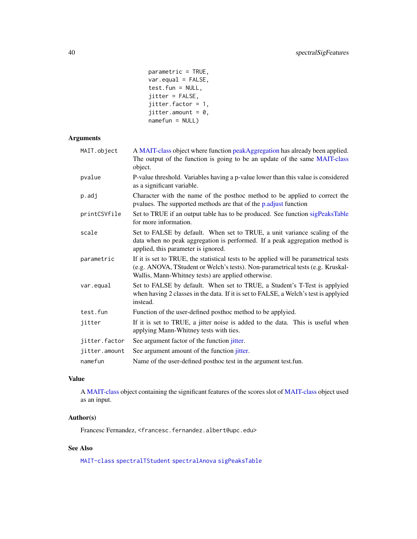<span id="page-39-0"></span>parametric = TRUE, var.equal = FALSE, test.fun = NULL, jitter = FALSE, jitter.factor = 1, jitter.amount =  $0$ , namefun = NULL)

# Arguments

| MAIT.object   | A MAIT-class object where function peakAggregation has already been applied.<br>The output of the function is going to be an update of the same MAIT-class<br>object.                                                        |  |  |  |
|---------------|------------------------------------------------------------------------------------------------------------------------------------------------------------------------------------------------------------------------------|--|--|--|
| pvalue        | P-value threshold. Variables having a p-value lower than this value is considered<br>as a significant variable.                                                                                                              |  |  |  |
| p.add         | Character with the name of the posthoc method to be applied to correct the<br>pvalues. The supported methods are that of the p.adjust function                                                                               |  |  |  |
| printCSVfile  | Set to TRUE if an output table has to be produced. See function sigPeaksTable<br>for more information.                                                                                                                       |  |  |  |
| scale         | Set to FALSE by default. When set to TRUE, a unit variance scaling of the<br>data when no peak aggregation is performed. If a peak aggregation method is<br>applied, this parameter is ignored.                              |  |  |  |
| parametric    | If it is set to TRUE, the statistical tests to be applied will be parametrical tests<br>(e.g. ANOVA, TStudent or Welch's tests). Non-parametrical tests (e.g. Kruskal-<br>Wallis, Mann-Whitney tests) are applied otherwise. |  |  |  |
| var.equal     | Set to FALSE by default. When set to TRUE, a Student's T-Test is applyied<br>when having 2 classes in the data. If it is set to FALSE, a Welch's test is applyied<br>instead.                                                |  |  |  |
| test.fun      | Function of the user-defined posthoc method to be applyied.                                                                                                                                                                  |  |  |  |
| jitter        | If it is set to TRUE, a jitter noise is added to the data. This is useful when<br>applying Mann-Whitney tests with ties.                                                                                                     |  |  |  |
| jitter.factor | See argument factor of the function <i>jitter</i> .                                                                                                                                                                          |  |  |  |
| jitter.amount | See argument amount of the function jitter.                                                                                                                                                                                  |  |  |  |
| namefun       | Name of the user-defined posthoc test in the argument test.fun.                                                                                                                                                              |  |  |  |

# Value

A [MAIT-class](#page-13-1) object containing the significant features of the scores slot of [MAIT-class](#page-13-1) object used as an input.

# Author(s)

Francesc Fernandez, <francesc.fernandez.albert@upc.edu>

# See Also

[MAIT-class](#page-13-1) [spectralTStudent](#page-0-0) [spectralAnova](#page-0-0) [sigPeaksTable](#page-37-1)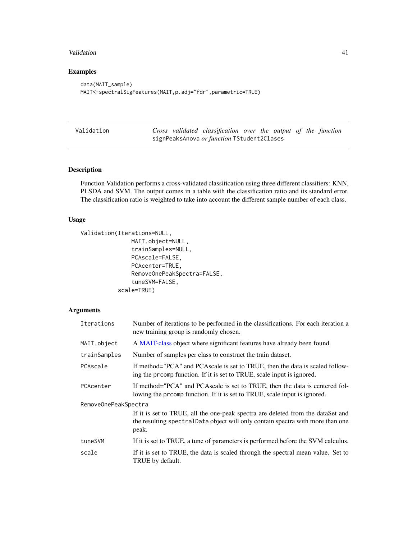#### <span id="page-40-0"></span>Validation 41

# Examples

```
data(MAIT_sample)
MAIT<-spectralSigFeatures(MAIT,p.adj="fdr",parametric=TRUE)
```
<span id="page-40-1"></span>

| Validation |  | Cross validated classification over the output of the function |  |  |  |
|------------|--|----------------------------------------------------------------|--|--|--|
|            |  | signPeaksAnova or function TStudent2Clases                     |  |  |  |

# Description

Function Validation performs a cross-validated classification using three different classifiers: KNN, PLSDA and SVM. The output comes in a table with the classification ratio and its standard error. The classification ratio is weighted to take into account the different sample number of each class.

# Usage

```
Validation(Iterations=NULL,
               MAIT.object=NULL,
               trainSamples=NULL,
               PCAscale=FALSE,
               PCAcenter=TRUE,
               RemoveOnePeakSpectra=FALSE,
               tuneSVM=FALSE,
           scale=TRUE)
```
# Arguments

| Iterations           | Number of iterations to be performed in the classifications. For each iteration a<br>new training group is randomly chosen.                                                |  |  |  |
|----------------------|----------------------------------------------------------------------------------------------------------------------------------------------------------------------------|--|--|--|
| MAIT.object          | A MAIT-class object where significant features have already been found.                                                                                                    |  |  |  |
| trainSamples         | Number of samples per class to construct the train dataset.                                                                                                                |  |  |  |
| PCAscale             | If method="PCA" and PCAscale is set to TRUE, then the data is scaled follow-<br>ing the promp function. If it is set to TRUE, scale input is ignored.                      |  |  |  |
| PCAcenter            | If method="PCA" and PCAscale is set to TRUE, then the data is centered fol-<br>lowing the promp function. If it is set to TRUE, scale input is ignored.                    |  |  |  |
| RemoveOnePeakSpectra |                                                                                                                                                                            |  |  |  |
|                      | If it is set to TRUE, all the one-peak spectra are deleted from the dataSet and<br>the resulting spectralData object will only contain spectra with more than one<br>peak. |  |  |  |
| tuneSVM              | If it is set to TRUE, a tune of parameters is performed before the SVM calculus.                                                                                           |  |  |  |
| scale                | If it is set to TRUE, the data is scaled through the spectral mean value. Set to<br>TRUE by default.                                                                       |  |  |  |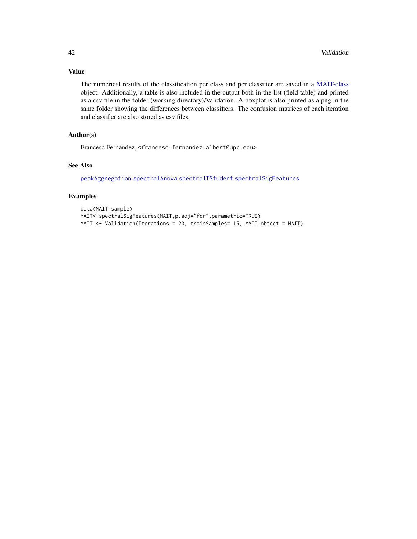# Value

The numerical results of the classification per class and per classifier are saved in a [MAIT-class](#page-13-1) object. Additionally, a table is also included in the output both in the list (field table) and printed as a csv file in the folder (working directory)/Validation. A boxplot is also printed as a png in the same folder showing the differences between classifiers. The confusion matrices of each iteration and classifier are also stored as csv files.

# Author(s)

Francesc Fernandez, <francesc.fernandez.albert@upc.edu>

# See Also

[peakAggregation](#page-0-0) [spectralAnova](#page-0-0) [spectralTStudent](#page-0-0) [spectralSigFeatures](#page-38-1)

# Examples

```
data(MAIT_sample)
MAIT<-spectralSigFeatures(MAIT,p.adj="fdr",parametric=TRUE)
MAIT <- Validation(Iterations = 20, trainSamples= 15, MAIT.object = MAIT)
```
<span id="page-41-0"></span>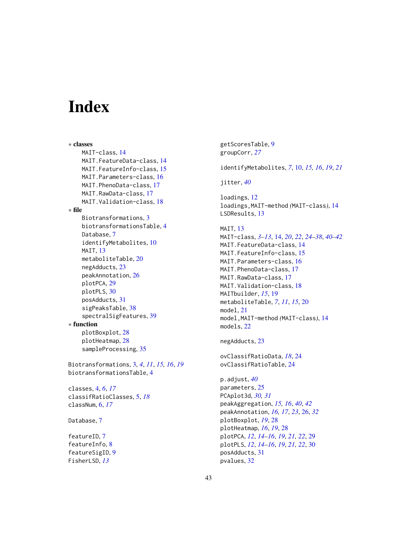# <span id="page-42-0"></span>**Index**

∗ classes MAIT-class, [14](#page-13-0) MAIT.FeatureData-class, [14](#page-13-0) MAIT.FeatureInfo-class, [15](#page-14-0) MAIT. Parameters-class, [16](#page-15-0) MAIT. PhenoData-class, [17](#page-16-0) MAIT.RawData-class, [17](#page-16-0) MAIT.Validation-class, [18](#page-17-0) ∗ file Biotransformations, [3](#page-2-0) biotransformationsTable, [4](#page-3-0) Database, [7](#page-6-0) identifyMetabolites, [10](#page-9-0) MAIT, [13](#page-12-0) metaboliteTable, [20](#page-19-0) negAdducts, [23](#page-22-0) peakAnnotation, [26](#page-25-0) plotPCA, [29](#page-28-0) plotPLS, [30](#page-29-0) posAdducts, [31](#page-30-0) sigPeaksTable, [38](#page-37-0) spectralSigFeatures, [39](#page-38-0) ∗ function plotBoxplot, [28](#page-27-0) plotHeatmap, [28](#page-27-0) sampleProcessing, [35](#page-34-0) Biotransformations, [3,](#page-2-0) *[4](#page-3-0)*, *[11](#page-10-0)*, *[15,](#page-14-0) [16](#page-15-0)*, *[19](#page-18-0)* biotransformationsTable, [4](#page-3-0) classes, [4,](#page-3-0) *[6](#page-5-0)*, *[17](#page-16-0)* classifRatioClasses, [5,](#page-4-0) *[18](#page-17-0)* classNum, [6,](#page-5-0) *[17](#page-16-0)* Database, [7](#page-6-0) featureID, [7](#page-6-0) featureInfo, [8](#page-7-0) featureSigID, [9](#page-8-0) FisherLSD, *[13](#page-12-0)*

getScoresTable, [9](#page-8-0) groupCorr, *[27](#page-26-0)* identifyMetabolites, *[7](#page-6-0)*, [10,](#page-9-0) *[15,](#page-14-0) [16](#page-15-0)*, *[19](#page-18-0)*, *[21](#page-20-0)* jitter, *[40](#page-39-0)* loadings, [12](#page-11-0) loadings,MAIT-method *(*MAIT-class*)*, [14](#page-13-0) LSDResults, [13](#page-12-0) MAIT, [13](#page-12-0) MAIT-class, *[3](#page-2-0)[–13](#page-12-0)*, [14,](#page-13-0) *[20](#page-19-0)*, *[22](#page-21-0)*, *[24](#page-23-0)[–38](#page-37-0)*, *[40](#page-39-0)[–42](#page-41-0)* MAIT.FeatureData-class, [14](#page-13-0) MAIT.FeatureInfo-class, [15](#page-14-0) MAIT. Parameters-class, [16](#page-15-0) MAIT.PhenoData-class, [17](#page-16-0) MAIT.RawData-class, [17](#page-16-0) MAIT. Validation-class, [18](#page-17-0) MAITbuilder, *[15](#page-14-0)*, [19](#page-18-0) metaboliteTable, *[7](#page-6-0)*, *[11](#page-10-0)*, *[15](#page-14-0)*, [20](#page-19-0) model, [21](#page-20-0) model,MAIT-method *(*MAIT-class*)*, [14](#page-13-0) models, [22](#page-21-0) negAdducts, [23](#page-22-0) ovClassifRatioData, *[18](#page-17-0)*, [24](#page-23-0) ovClassifRatioTable, [24](#page-23-0) p.adjust, *[40](#page-39-0)* parameters, [25](#page-24-0) PCAplot3d, *[30,](#page-29-0) [31](#page-30-0)* peakAggregation, *[15,](#page-14-0) [16](#page-15-0)*, *[40](#page-39-0)*, *[42](#page-41-0)* peakAnnotation, *[16,](#page-15-0) [17](#page-16-0)*, *[23](#page-22-0)*, [26,](#page-25-0) *[32](#page-31-0)* plotBoxplot, *[19](#page-18-0)*, [28](#page-27-0) plotHeatmap, *[16](#page-15-0)*, *[19](#page-18-0)*, [28](#page-27-0) plotPCA, *[12](#page-11-0)*, *[14](#page-13-0)[–16](#page-15-0)*, *[19](#page-18-0)*, *[21,](#page-20-0) [22](#page-21-0)*, [29](#page-28-0) plotPLS, *[12](#page-11-0)*, *[14](#page-13-0)[–16](#page-15-0)*, *[19](#page-18-0)*, *[21,](#page-20-0) [22](#page-21-0)*, [30](#page-29-0) posAdducts, [31](#page-30-0) pvalues, [32](#page-31-0)